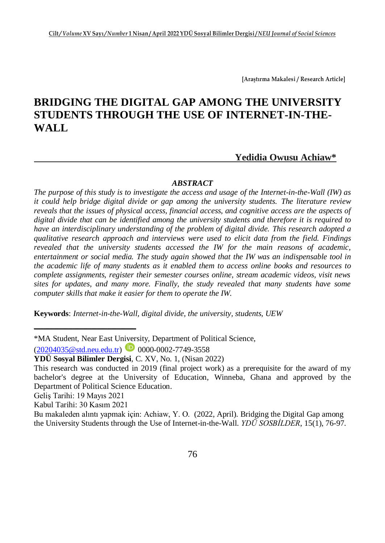**[Araştırma Makalesi / Research Article]**

# **BRIDGING THE DIGITAL GAP AMONG THE UNIVERSITY STUDENTS THROUGH THE USE OF INTERNET-IN-THE-WALL Yedidia Owusu Achiaw\***

#### *ABSTRACT*

*The purpose of this study is to investigate the access and usage of the Internet-in-the-Wall (IW) as it could help bridge digital divide or gap among the university students. The literature review reveals that the issues of physical access, financial access, and cognitive access are the aspects of digital divide that can be identified among the university students and therefore it is required to have an interdisciplinary understanding of the problem of digital divide. This research adopted a qualitative research approach and interviews were used to elicit data from the field. Findings revealed that the university students accessed the IW for the main reasons of academic, entertainment or social media. The study again showed that the IW was an indispensable tool in the academic life of many students as it enabled them to access online books and resources to complete assignments, register their semester courses online, stream academic videos, visit news sites for updates, and many more. Finally, the study revealed that many students have some computer skills that make it easier for them to operate the IW.* 

**Keywords**: *Internet-in-the-Wall, digital divide, the university, students, UEW*

**\_\_\_\_\_\_\_\_\_\_\_\_\_\_\_\_\_\_\_\_\_\_\_\_\_\_\_\_\_\_\_\_**

<sup>\*</sup>MA Student, Near East University, Department of Political Science,

 $(20204035@std.neu.edu.tr)$  0000-0002-7749-3558

**YDÜ Sosyal Bilimler Dergisi**, C. XV, No. 1, (Nisan 2022)

This research was conducted in 2019 (final project work) as a prerequisite for the award of my bachelor's degree at the University of Education, Winneba, Ghana and approved by the Department of Political Science Education.

Geliş Tarihi: 19 Mayıs 2021

Kabul Tarihi: 30 Kasım 2021

Bu makaleden alıntı yapmak için: Achiaw, Y. O. (2022, April). Bridging the Digital Gap among the University Students through the Use of Internet-in-the-Wall. *YDÜ SOSBİLDER*, 15(1), 76-97.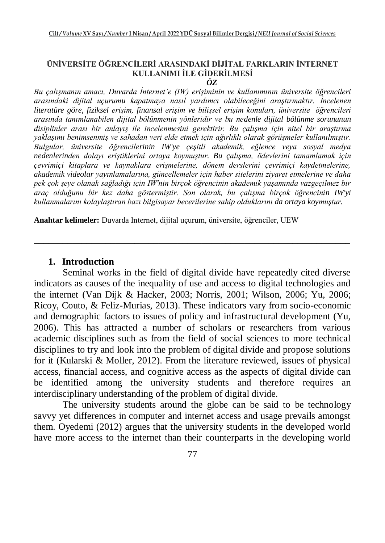# **ÜNİVERSİTE ÖĞRENCİLERİ ARASINDAKİ DİJİTAL FARKLARIN İNTERNET KULLANIMI İLE GİDERİLMESİ**

*ÖZ*

*Bu çalışmanın amacı, Duvarda İnternet'e (IW) erişiminin ve kullanımının üniversite öğrencileri arasındaki dijital uçurumu kapatmaya nasıl yardımcı olabileceğini araştırmaktır. İncelenen literatüre göre, fiziksel erişim, finansal erişim ve bilişsel erişim konuları, üniversite öğrencileri arasında tanımlanabilen dijital bölünmenin yönleridir ve bu nedenle dijital bölünme sorununun disiplinler arası bir anlayış ile incelenmesini gerektirir. Bu çalışma için nitel bir araştırma yaklaşımı benimsenmiş ve sahadan veri elde etmek için ağırlıklı olarak görüşmeler kullanılmıştır. Bulgular, üniversite öğrencilerinin IW'ye çeşitli akademik, eğlence veya sosyal medya nedenlerinden dolayı eriştiklerini ortaya koymuştur. Bu çalışma, ödevlerini tamamlamak için çevrimiçi kitaplara ve kaynaklara erişmelerine, dönem derslerini çevrimiçi kaydetmelerine, akademik videolar yayınlamalarına, güncellemeler için haber sitelerini ziyaret etmelerine ve daha pek çok şeye olanak sağladığı için IW'nin birçok öğrencinin akademik yaşamında vazgeçilmez bir araç olduğunu bir kez daha göstermiştir. Son olarak, bu çalışma birçok öğrencinin IW'yi kullanmalarını kolaylaştıran bazı bilgisayar becerilerine sahip olduklarını da ortaya koymuştur.*

\_\_\_\_\_\_\_\_\_\_\_\_\_\_\_\_\_\_\_\_\_\_\_\_\_\_\_\_\_\_\_\_\_\_\_\_\_\_\_\_\_\_\_\_\_\_\_\_\_\_\_\_\_\_\_\_\_\_\_\_\_\_\_\_\_\_

**Anahtar kelimeler:** Duvarda Internet, dijital uçurum, üniversite, öğrenciler, UEW

#### **1. Introduction**

Seminal works in the field of digital divide have repeatedly cited diverse indicators as causes of the inequality of use and access to digital technologies and the internet (Van Dijk & Hacker, 2003; Norris, 2001; Wilson, 2006; Yu, 2006; Ricoy, Couto, & Feliz-Murias, 2013). These indicators vary from socio-economic and demographic factors to issues of policy and infrastructural development (Yu, 2006). This has attracted a number of scholars or researchers from various academic disciplines such as from the field of social sciences to more technical disciplines to try and look into the problem of digital divide and propose solutions for it (Kularski & Moller, 2012). From the literature reviewed, issues of physical access, financial access, and cognitive access as the aspects of digital divide can be identified among the university students and therefore requires an interdisciplinary understanding of the problem of digital divide.

The university students around the globe can be said to be technology savvy yet differences in computer and internet access and usage prevails amongst them. Oyedemi (2012) argues that the university students in the developed world have more access to the internet than their counterparts in the developing world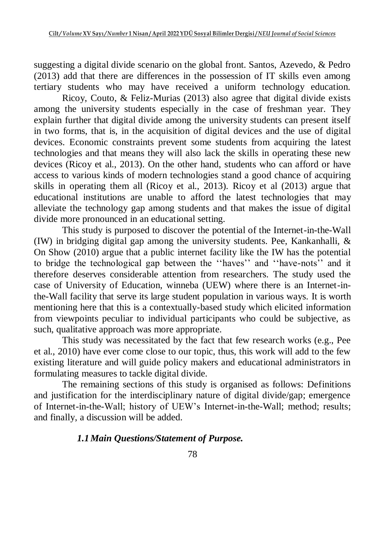suggesting a digital divide scenario on the global front. Santos, Azevedo, & Pedro (2013) add that there are differences in the possession of IT skills even among tertiary students who may have received a uniform technology education.

Ricoy, Couto, & Feliz-Murias (2013) also agree that digital divide exists among the university students especially in the case of freshman year. They explain further that digital divide among the university students can present itself in two forms, that is, in the acquisition of digital devices and the use of digital devices. Economic constraints prevent some students from acquiring the latest technologies and that means they will also lack the skills in operating these new devices (Ricoy et al., 2013). On the other hand, students who can afford or have access to various kinds of modern technologies stand a good chance of acquiring skills in operating them all (Ricoy et al., 2013). Ricoy et al (2013) argue that educational institutions are unable to afford the latest technologies that may alleviate the technology gap among students and that makes the issue of digital divide more pronounced in an educational setting.

This study is purposed to discover the potential of the Internet-in-the-Wall (IW) in bridging digital gap among the university students. Pee, Kankanhalli, & On Show (2010) argue that a public internet facility like the IW has the potential to bridge the technological gap between the ''haves'' and ''have-nots'' and it therefore deserves considerable attention from researchers. The study used the case of University of Education, winneba (UEW) where there is an Internet-inthe-Wall facility that serve its large student population in various ways. It is worth mentioning here that this is a contextually-based study which elicited information from viewpoints peculiar to individual participants who could be subjective, as such, qualitative approach was more appropriate.

This study was necessitated by the fact that few research works (e.g., Pee et al., 2010) have ever come close to our topic, thus, this work will add to the few existing literature and will guide policy makers and educational administrators in formulating measures to tackle digital divide.

The remaining sections of this study is organised as follows: Definitions and justification for the interdisciplinary nature of digital divide/gap; emergence of Internet-in-the-Wall; history of UEW's Internet-in-the-Wall; method; results; and finally, a discussion will be added.

### *1.1Main Questions/Statement of Purpose.*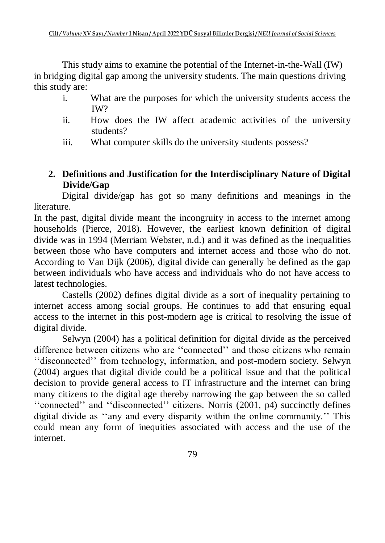This study aims to examine the potential of the Internet-in-the-Wall (IW) in bridging digital gap among the university students. The main questions driving this study are:

- i. What are the purposes for which the university students access the IW?
- ii. How does the IW affect academic activities of the university students?
- iii. What computer skills do the university students possess?

# **2. Definitions and Justification for the Interdisciplinary Nature of Digital Divide/Gap**

Digital divide/gap has got so many definitions and meanings in the literature.

In the past, digital divide meant the incongruity in access to the internet among households (Pierce, 2018). However, the earliest known definition of digital divide was in 1994 (Merriam Webster, n.d.) and it was defined as the inequalities between those who have computers and internet access and those who do not. According to Van Dijk (2006), digital divide can generally be defined as the gap between individuals who have access and individuals who do not have access to latest technologies.

Castells (2002) defines digital divide as a sort of inequality pertaining to internet access among social groups. He continues to add that ensuring equal access to the internet in this post-modern age is critical to resolving the issue of digital divide.

Selwyn (2004) has a political definition for digital divide as the perceived difference between citizens who are ''connected'' and those citizens who remain ''disconnected'' from technology, information, and post-modern society. Selwyn (2004) argues that digital divide could be a political issue and that the political decision to provide general access to IT infrastructure and the internet can bring many citizens to the digital age thereby narrowing the gap between the so called ''connected'' and ''disconnected'' citizens. Norris (2001, p4) succinctly defines digital divide as ''any and every disparity within the online community.'' This could mean any form of inequities associated with access and the use of the internet.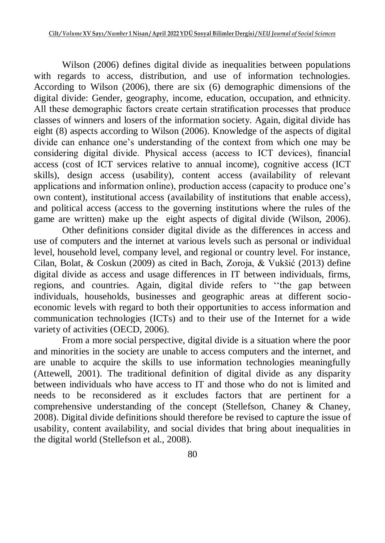Wilson (2006) defines digital divide as inequalities between populations with regards to access, distribution, and use of information technologies. According to Wilson (2006), there are six (6) demographic dimensions of the digital divide: Gender, geography, income, education, occupation, and ethnicity. All these demographic factors create certain stratification processes that produce classes of winners and losers of the information society. Again, digital divide has eight (8) aspects according to Wilson (2006). Knowledge of the aspects of digital divide can enhance one's understanding of the context from which one may be considering digital divide. Physical access (access to ICT devices), financial access (cost of ICT services relative to annual income), cognitive access (ICT skills), design access (usability), content access (availability of relevant applications and information online), production access (capacity to produce one's own content), institutional access (availability of institutions that enable access), and political access (access to the governing institutions where the rules of the game are written) make up the eight aspects of digital divide (Wilson, 2006).

Other definitions consider digital divide as the differences in access and use of computers and the internet at various levels such as personal or individual level, household level, company level, and regional or country level. For instance, Cilan, Bolat, & Coskun (2009) as cited in Bach, Zoroja, & Vukšić (2013) define digital divide as access and usage differences in IT between individuals, firms, regions, and countries. Again, digital divide refers to ''the gap between individuals, households, businesses and geographic areas at different socioeconomic levels with regard to both their opportunities to access information and communication technologies (ICTs) and to their use of the Internet for a wide variety of activities (OECD, 2006).

From a more social perspective, digital divide is a situation where the poor and minorities in the society are unable to access computers and the internet, and are unable to acquire the skills to use information technologies meaningfully (Attewell, 2001). The traditional definition of digital divide as any disparity between individuals who have access to IT and those who do not is limited and needs to be reconsidered as it excludes factors that are pertinent for a comprehensive understanding of the concept (Stellefson, Chaney & Chaney, 2008). Digital divide definitions should therefore be revised to capture the issue of usability, content availability, and social divides that bring about inequalities in the digital world (Stellefson et al., 2008).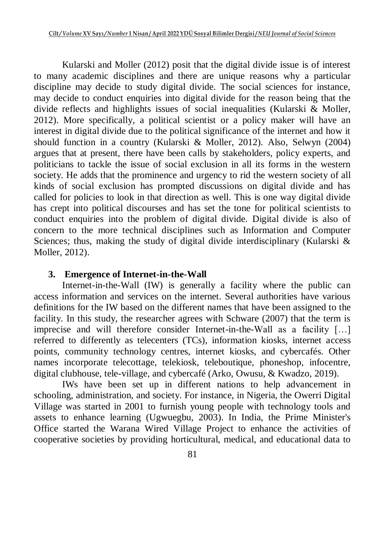Kularski and Moller (2012) posit that the digital divide issue is of interest to many academic disciplines and there are unique reasons why a particular discipline may decide to study digital divide. The social sciences for instance, may decide to conduct enquiries into digital divide for the reason being that the divide reflects and highlights issues of social inequalities (Kularski & Moller, 2012). More specifically, a political scientist or a policy maker will have an interest in digital divide due to the political significance of the internet and how it should function in a country (Kularski & Moller, 2012). Also, Selwyn (2004) argues that at present, there have been calls by stakeholders, policy experts, and politicians to tackle the issue of social exclusion in all its forms in the western society. He adds that the prominence and urgency to rid the western society of all kinds of social exclusion has prompted discussions on digital divide and has called for policies to look in that direction as well. This is one way digital divide has crept into political discourses and has set the tone for political scientists to conduct enquiries into the problem of digital divide. Digital divide is also of concern to the more technical disciplines such as Information and Computer Sciences; thus, making the study of digital divide interdisciplinary (Kularski & Moller, 2012).

### **3. Emergence of Internet-in-the-Wall**

Internet-in-the-Wall (IW) is generally a facility where the public can access information and services on the internet. Several authorities have various definitions for the IW based on the different names that have been assigned to the facility. In this study, the researcher agrees with Schware (2007) that the term is imprecise and will therefore consider Internet-in-the-Wall as a facility […] referred to differently as telecenters (TCs), information kiosks, internet access points, community technology centres, internet kiosks, and cybercafés. Other names incorporate telecottage, telekiosk, teleboutique, phoneshop, infocentre, digital clubhouse, tele-village, and cybercafé (Arko, Owusu, & Kwadzo, 2019).

IWs have been set up in different nations to help advancement in schooling, administration, and society. For instance, in Nigeria, the Owerri Digital Village was started in 2001 to furnish young people with technology tools and assets to enhance learning (Ugwuegbu, 2003). In India, the Prime Minister's Office started the Warana Wired Village Project to enhance the activities of cooperative societies by providing horticultural, medical, and educational data to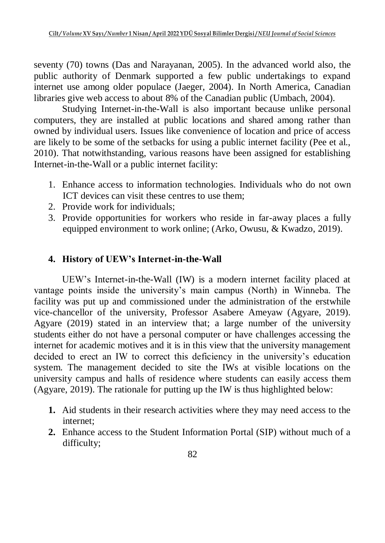seventy (70) towns (Das and Narayanan, 2005). In the advanced world also, the public authority of Denmark supported a few public undertakings to expand internet use among older populace (Jaeger, 2004). In North America, Canadian libraries give web access to about 8% of the Canadian public (Umbach, 2004).

Studying Internet-in-the-Wall is also important because unlike personal computers, they are installed at public locations and shared among rather than owned by individual users. Issues like convenience of location and price of access are likely to be some of the setbacks for using a public internet facility (Pee et al., 2010). That notwithstanding, various reasons have been assigned for establishing Internet-in-the-Wall or a public internet facility:

- 1. Enhance access to information technologies. Individuals who do not own ICT devices can visit these centres to use them;
- 2. Provide work for individuals;
- 3. Provide opportunities for workers who reside in far-away places a fully equipped environment to work online; (Arko, Owusu, & Kwadzo, 2019).

# **4. History of UEW's Internet-in-the-Wall**

UEW's Internet-in-the-Wall (IW) is a modern internet facility placed at vantage points inside the university's main campus (North) in Winneba. The facility was put up and commissioned under the administration of the erstwhile vice-chancellor of the university, Professor Asabere Ameyaw (Agyare, 2019). Agyare (2019) stated in an interview that; a large number of the university students either do not have a personal computer or have challenges accessing the internet for academic motives and it is in this view that the university management decided to erect an IW to correct this deficiency in the university's education system. The management decided to site the IWs at visible locations on the university campus and halls of residence where students can easily access them (Agyare, 2019). The rationale for putting up the IW is thus highlighted below:

- **1.** Aid students in their research activities where they may need access to the internet;
- **2.** Enhance access to the Student Information Portal (SIP) without much of a difficulty;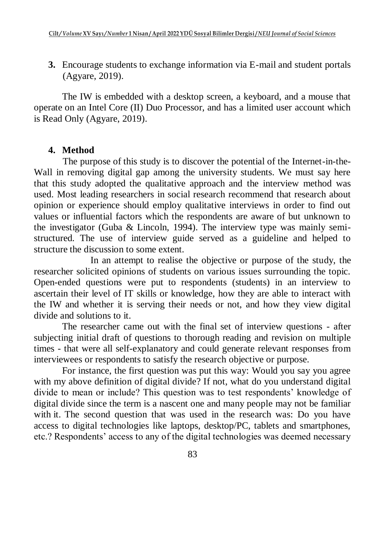**3.** Encourage students to exchange information via E-mail and student portals (Agyare, 2019).

The IW is embedded with a desktop screen, a keyboard, and a mouse that operate on an Intel Core (II) Duo Processor, and has a limited user account which is Read Only (Agyare, 2019).

## **4. Method**

The purpose of this study is to discover the potential of the Internet-in-the-Wall in removing digital gap among the university students. We must say here that this study adopted the qualitative approach and the interview method was used. Most leading researchers in social research recommend that research about opinion or experience should employ qualitative interviews in order to find out values or influential factors which the respondents are aware of but unknown to the investigator (Guba & Lincoln, 1994). The interview type was mainly semistructured. The use of interview guide served as a guideline and helped to structure the discussion to some extent.

In an attempt to realise the objective or purpose of the study, the researcher solicited opinions of students on various issues surrounding the topic. Open-ended questions were put to respondents (students) in an interview to ascertain their level of IT skills or knowledge, how they are able to interact with the IW and whether it is serving their needs or not, and how they view digital divide and solutions to it.

The researcher came out with the final set of interview questions - after subjecting initial draft of questions to thorough reading and revision on multiple times - that were all self-explanatory and could generate relevant responses from interviewees or respondents to satisfy the research objective or purpose.

For instance, the first question was put this way: Would you say you agree with my above definition of digital divide? If not, what do you understand digital divide to mean or include? This question was to test respondents' knowledge of digital divide since the term is a nascent one and many people may not be familiar with it. The second question that was used in the research was: Do you have access to digital technologies like laptops, desktop/PC, tablets and smartphones, etc.? Respondents' access to any of the digital technologies was deemed necessary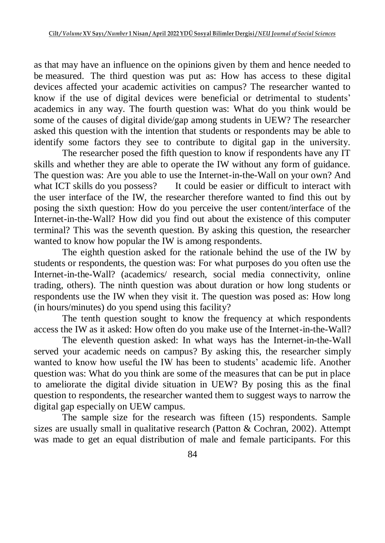as that may have an influence on the opinions given by them and hence needed to be measured. The third question was put as: How has access to these digital devices affected your academic activities on campus? The researcher wanted to know if the use of digital devices were beneficial or detrimental to students' academics in any way. The fourth question was: What do you think would be some of the causes of digital divide/gap among students in UEW? The researcher asked this question with the intention that students or respondents may be able to identify some factors they see to contribute to digital gap in the university.

The researcher posed the fifth question to know if respondents have any IT skills and whether they are able to operate the IW without any form of guidance. The question was: Are you able to use the Internet-in-the-Wall on your own? And what ICT skills do you possess? It could be easier or difficult to interact with the user interface of the IW, the researcher therefore wanted to find this out by posing the sixth question: How do you perceive the user content/interface of the Internet-in-the-Wall? How did you find out about the existence of this computer terminal? This was the seventh question. By asking this question, the researcher wanted to know how popular the IW is among respondents.

The eighth question asked for the rationale behind the use of the IW by students or respondents, the question was: For what purposes do you often use the Internet-in-the-Wall? (academics/ research, social media connectivity, online trading, others). The ninth question was about duration or how long students or respondents use the IW when they visit it. The question was posed as: How long (in hours/minutes) do you spend using this facility?

The tenth question sought to know the frequency at which respondents access the IW as it asked: How often do you make use of the Internet-in-the-Wall?

The eleventh question asked: In what ways has the Internet-in-the-Wall served your academic needs on campus? By asking this, the researcher simply wanted to know how useful the IW has been to students' academic life. Another question was: What do you think are some of the measures that can be put in place to ameliorate the digital divide situation in UEW? By posing this as the final question to respondents, the researcher wanted them to suggest ways to narrow the digital gap especially on UEW campus.

The sample size for the research was fifteen (15) respondents. Sample sizes are usually small in qualitative research (Patton & Cochran, 2002). Attempt was made to get an equal distribution of male and female participants. For this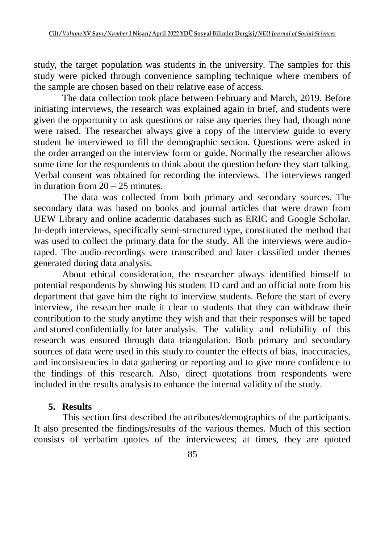study, the target population was students in the university. The samples for this study were picked through convenience sampling technique where members of the sample are chosen based on their relative ease of access.

The data collection took place between February and March, 2019. Before initiating interviews, the research was explained again in brief, and students were given the opportunity to ask questions or raise any queries they had, though none were raised. The researcher always give a copy of the interview guide to every student he interviewed to fill the demographic section. Questions were asked in the order arranged on the interview form or guide. Normally the researcher allows some time for the respondents to think about the question before they start talking. Verbal consent was obtained for recording the interviews. The interviews ranged in duration from  $20 - 25$  minutes.

The data was collected from both primary and secondary sources. The secondary data was based on books and journal articles that were drawn from UEW Library and online academic databases such as ERIC and Google Scholar. In-depth interviews, specifically semi-structured type, constituted the method that was used to collect the primary data for the study. All the interviews were audiotaped. The audio-recordings were transcribed and later classified under themes generated during data analysis.

About ethical consideration, the researcher always identified himself to potential respondents by showing his student ID card and an official note from his department that gave him the right to interview students. Before the start of every interview, the researcher made it clear to students that they can withdraw their contribution to the study anytime they wish and that their responses will be taped and stored confidentially for later analysis. The validity and reliability of this research was ensured through data triangulation. Both primary and secondary sources of data were used in this study to counter the effects of bias, inaccuracies, and inconsistencies in data gathering or reporting and to give more confidence to the findings of this research. Also, direct quotations from respondents were included in the results analysis to enhance the internal validity of the study.

### **5. Results**

This section first described the attributes/demographics of the participants. It also presented the findings/results of the various themes. Much of this section consists of verbatim quotes of the interviewees; at times, they are quoted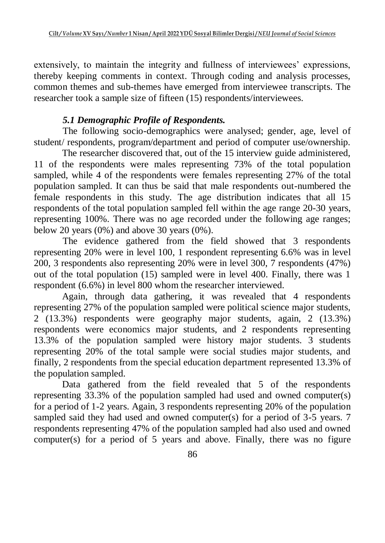extensively, to maintain the integrity and fullness of interviewees' expressions, thereby keeping comments in context. Through coding and analysis processes, common themes and sub-themes have emerged from interviewee transcripts. The researcher took a sample size of fifteen (15) respondents/interviewees.

# *5.1 Demographic Profile of Respondents.*

The following socio-demographics were analysed; gender, age, level of student/ respondents, program/department and period of computer use/ownership.

The researcher discovered that, out of the 15 interview guide administered, 11 of the respondents were males representing 73% of the total population sampled, while 4 of the respondents were females representing 27% of the total population sampled. It can thus be said that male respondents out-numbered the female respondents in this study. The age distribution indicates that all 15 respondents of the total population sampled fell within the age range 20-30 years, representing 100%. There was no age recorded under the following age ranges; below 20 years  $(0\%)$  and above 30 years  $(0\%)$ .

The evidence gathered from the field showed that 3 respondents representing 20% were in level 100, 1 respondent representing 6.6% was in level 200, 3 respondents also representing 20% were in level 300, 7 respondents (47%) out of the total population (15) sampled were in level 400. Finally, there was 1 respondent (6.6%) in level 800 whom the researcher interviewed.

Again, through data gathering, it was revealed that 4 respondents representing 27% of the population sampled were political science major students, 2 (13.3%) respondents were geography major students, again, 2 (13.3%) respondents were economics major students, and 2 respondents representing 13.3% of the population sampled were history major students. 3 students representing 20% of the total sample were social studies major students, and finally, 2 respondents from the special education department represented 13.3% of the population sampled.

Data gathered from the field revealed that 5 of the respondents representing 33.3% of the population sampled had used and owned computer(s) for a period of 1-2 years. Again, 3 respondents representing 20% of the population sampled said they had used and owned computer(s) for a period of 3-5 years. 7 respondents representing 47% of the population sampled had also used and owned computer(s) for a period of 5 years and above. Finally, there was no figure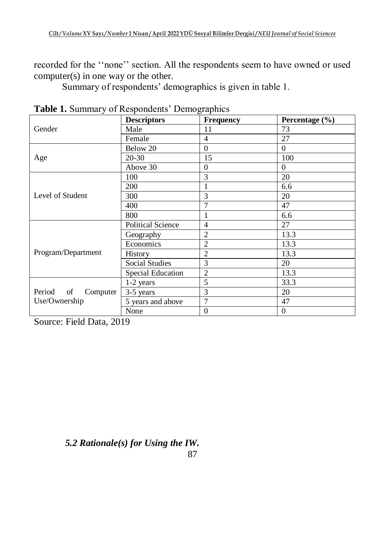recorded for the ''none'' section. All the respondents seem to have owned or used computer(s) in one way or the other.

Summary of respondents' demographics is given in table 1.

| <b>Tuble 1.</b> Building $\theta$ is respondents <b>Demographies</b> | <b>Descriptors</b>       | Frequency        | Percentage (%) |
|----------------------------------------------------------------------|--------------------------|------------------|----------------|
| Gender                                                               | Male                     | 11               | 73             |
|                                                                      | Female                   | $\overline{4}$   | 27             |
| Age                                                                  | Below 20                 | $\Omega$         | $\Omega$       |
|                                                                      | $20 - 30$                | 15               | 100            |
|                                                                      | Above 30                 | $\overline{0}$   | $\Omega$       |
| Level of Student                                                     | 100                      | 3                | 20             |
|                                                                      | 200                      |                  | 6.6            |
|                                                                      | 300                      | 3                | 20             |
|                                                                      | 400                      | $\overline{7}$   | 47             |
|                                                                      | 800                      | 1                | 6.6            |
| Program/Department                                                   | <b>Political Science</b> | $\overline{4}$   | 27             |
|                                                                      | Geography                | $\overline{2}$   | 13.3           |
|                                                                      | Economics                | $\overline{2}$   | 13.3           |
|                                                                      | History                  | $\overline{2}$   | 13.3           |
|                                                                      | <b>Social Studies</b>    | 3                | 20             |
|                                                                      | Special Education        | $\overline{2}$   | 13.3           |
| Period<br>of<br>Computer                                             | 1-2 years                | 5                | 33.3           |
|                                                                      | 3-5 years                | 3                | 20             |
| Use/Ownership                                                        | 5 years and above        | $\overline{7}$   | 47             |
|                                                                      | None                     | $\boldsymbol{0}$ | $\mathbf{0}$   |

**Table 1.** Summary of Respondents' Demographics

Source: Field Data, 2019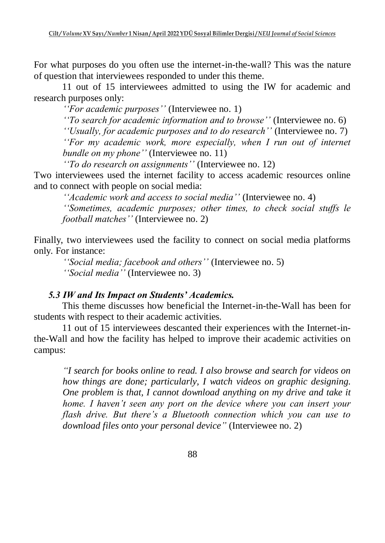For what purposes do you often use the internet-in-the-wall? This was the nature of question that interviewees responded to under this theme.

11 out of 15 interviewees admitted to using the IW for academic and research purposes only:

*''For academic purposes''* (Interviewee no. 1)

*''To search for academic information and to browse''* (Interviewee no. 6)

*''Usually, for academic purposes and to do research''* (Interviewee no. 7)

*''For my academic work, more especially, when I run out of internet bundle on my phone''* (Interviewee no. 11)

*''To do research on assignments''* (Interviewee no. 12)

Two interviewees used the internet facility to access academic resources online and to connect with people on social media:

*''Academic work and access to social media''* (Interviewee no. 4) *''Sometimes, academic purposes; other times, to check social stuffs le football matches''* (Interviewee no. 2)

Finally, two interviewees used the facility to connect on social media platforms only. For instance:

*''Social media; facebook and others''* (Interviewee no. 5) *''Social media''* (Interviewee no. 3)

### *5.3 IW and Its Impact on Students' Academics.*

This theme discusses how beneficial the Internet-in-the-Wall has been for students with respect to their academic activities.

11 out of 15 interviewees descanted their experiences with the Internet-inthe-Wall and how the facility has helped to improve their academic activities on campus:

*"I search for books online to read. I also browse and search for videos on how things are done; particularly, I watch videos on graphic designing. One problem is that, I cannot download anything on my drive and take it home. I haven't seen any port on the device where you can insert your flash drive. But there's a Bluetooth connection which you can use to download files onto your personal device"* (Interviewee no. 2)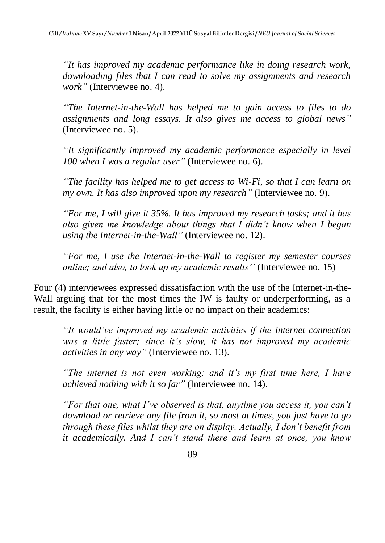*"It has improved my academic performance like in doing research work, downloading files that I can read to solve my assignments and research work"* (Interviewee no. 4).

*"The Internet-in-the-Wall has helped me to gain access to files to do assignments and long essays. It also gives me access to global news"* (Interviewee no. 5).

*"It significantly improved my academic performance especially in level 100 when I was a regular user"* (Interviewee no. 6).

*"The facility has helped me to get access to Wi-Fi, so that I can learn on my own. It has also improved upon my research"* (Interviewee no. 9).

*"For me, I will give it 35%. It has improved my research tasks; and it has also given me knowledge about things that I didn't know when I began using the Internet-in-the-Wall"* (Interviewee no. 12).

*"For me, I use the Internet-in-the-Wall to register my semester courses online; and also, to look up my academic results''* (Interviewee no. 15)

Four (4) interviewees expressed dissatisfaction with the use of the Internet-in-the-Wall arguing that for the most times the IW is faulty or underperforming, as a result, the facility is either having little or no impact on their academics:

*"It would've improved my academic activities if the internet connection was a little faster; since it's slow, it has not improved my academic activities in any way"* (Interviewee no. 13).

*"The internet is not even working; and it's my first time here, I have achieved nothing with it so far"* (Interviewee no. 14).

*"For that one, what I've observed is that, anytime you access it, you can't download or retrieve any file from it, so most at times, you just have to go through these files whilst they are on display. Actually, I don't benefit from it academically. And I can't stand there and learn at once, you know*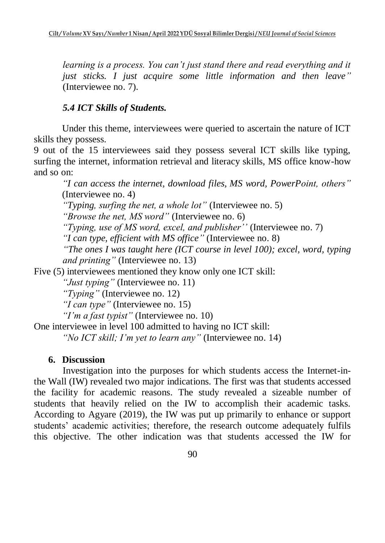*learning is a process. You can't just stand there and read everything and it just sticks. I just acquire some little information and then leave"* (Interviewee no. 7).

# *5.4 ICT Skills of Students.*

Under this theme, interviewees were queried to ascertain the nature of ICT skills they possess.

9 out of the 15 interviewees said they possess several ICT skills like typing, surfing the internet, information retrieval and literacy skills, MS office know-how and so on:

*"I can access the internet, download files, MS word, PowerPoint, others"* (Interviewee no. 4)

*"Typing, surfing the net, a whole lot"* (Interviewee no. 5)

*"Browse the net, MS word"* (Interviewee no. 6)

*"Typing, use of MS word, excel, and publisher''* (Interviewee no. 7)

*"I can type, efficient with MS office"* (Interviewee no. 8)

*"The ones I was taught here (ICT course in level 100); excel, word, typing and printing"* (Interviewee no. 13)

Five (5) interviewees mentioned they know only one ICT skill:

*"Just typing"* (Interviewee no. 11)

*"Typing"* (Interviewee no. 12)

*"I can type"* (Interviewee no. 15)

*"I'm a fast typist"* (Interviewee no. 10)

One interviewee in level 100 admitted to having no ICT skill:

*"No ICT skill; I'm yet to learn any"* (Interviewee no. 14)

# **6. Discussion**

Investigation into the purposes for which students access the Internet-inthe Wall (IW) revealed two major indications. The first was that students accessed the facility for academic reasons. The study revealed a sizeable number of students that heavily relied on the IW to accomplish their academic tasks. According to Agyare (2019), the IW was put up primarily to enhance or support students' academic activities; therefore, the research outcome adequately fulfils this objective. The other indication was that students accessed the IW for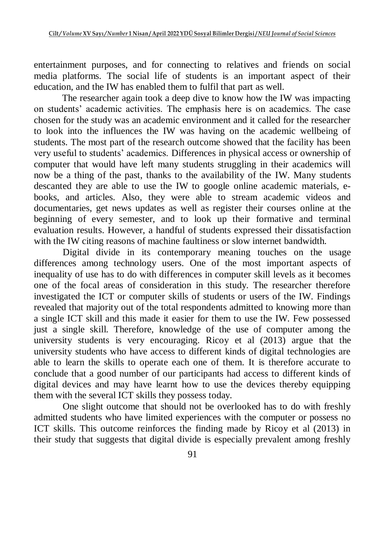entertainment purposes, and for connecting to relatives and friends on social media platforms. The social life of students is an important aspect of their education, and the IW has enabled them to fulfil that part as well.

The researcher again took a deep dive to know how the IW was impacting on students' academic activities. The emphasis here is on academics. The case chosen for the study was an academic environment and it called for the researcher to look into the influences the IW was having on the academic wellbeing of students. The most part of the research outcome showed that the facility has been very useful to students' academics. Differences in physical access or ownership of computer that would have left many students struggling in their academics will now be a thing of the past, thanks to the availability of the IW. Many students descanted they are able to use the IW to google online academic materials, ebooks, and articles. Also, they were able to stream academic videos and documentaries, get news updates as well as register their courses online at the beginning of every semester, and to look up their formative and terminal evaluation results. However, a handful of students expressed their dissatisfaction with the IW citing reasons of machine faultiness or slow internet bandwidth.

Digital divide in its contemporary meaning touches on the usage differences among technology users. One of the most important aspects of inequality of use has to do with differences in computer skill levels as it becomes one of the focal areas of consideration in this study. The researcher therefore investigated the ICT or computer skills of students or users of the IW. Findings revealed that majority out of the total respondents admitted to knowing more than a single ICT skill and this made it easier for them to use the IW. Few possessed just a single skill. Therefore, knowledge of the use of computer among the university students is very encouraging. Ricoy et al (2013) argue that the university students who have access to different kinds of digital technologies are able to learn the skills to operate each one of them. It is therefore accurate to conclude that a good number of our participants had access to different kinds of digital devices and may have learnt how to use the devices thereby equipping them with the several ICT skills they possess today.

One slight outcome that should not be overlooked has to do with freshly admitted students who have limited experiences with the computer or possess no ICT skills. This outcome reinforces the finding made by Ricoy et al (2013) in their study that suggests that digital divide is especially prevalent among freshly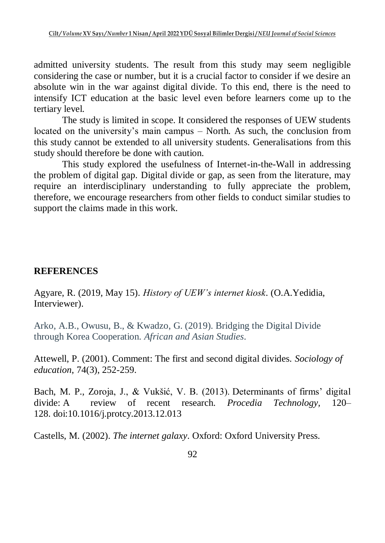admitted university students. The result from this study may seem negligible considering the case or number, but it is a crucial factor to consider if we desire an absolute win in the war against digital divide. To this end, there is the need to intensify ICT education at the basic level even before learners come up to the tertiary level.

The study is limited in scope. It considered the responses of UEW students located on the university's main campus – North. As such, the conclusion from this study cannot be extended to all university students. Generalisations from this study should therefore be done with caution.

This study explored the usefulness of Internet-in-the-Wall in addressing the problem of digital gap. Digital divide or gap, as seen from the literature, may require an interdisciplinary understanding to fully appreciate the problem, therefore, we encourage researchers from other fields to conduct similar studies to support the claims made in this work.

# **REFERENCES**

Agyare, R. (2019, May 15). *History of UEW's internet kiosk*. (O.A.Yedidia, Interviewer).

Arko, A.B., Owusu, B., & Kwadzo, G. (2019). Bridging the Digital Divide through Korea Cooperation. *African and Asian Studies*.

Attewell, P. (2001). Comment: The first and second digital divides. *Sociology of education*, 74(3), 252-259.

Bach, M. P., Zoroja, J., & Vukšić, V. B. (2013). Determinants of firms' digital divide: A review of recent research. *Procedia Technology,* 120– 128. doi:10.1016/j.protcy.2013.12.013

Castells, M. (2002). *The internet galaxy*. Oxford: Oxford University Press.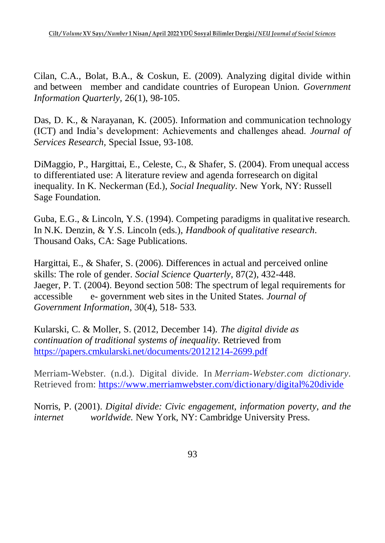Cilan, C.A., Bolat, B.A., & Coskun, E. (2009). Analyzing digital divide within and between member and candidate countries of European Union. *Government Information Quarterly,* 26(1), 98-105.

Das, D. K., & Narayanan, K. (2005). Information and communication technology (ICT) and India's development: Achievements and challenges ahead. *Journal of Services Research,* Special Issue, 93-108.

DiMaggio, P., Hargittai, E., Celeste, C., & Shafer, S. (2004). From unequal access to differentiated use: A literature review and agenda forresearch on digital inequality. In K. Neckerman (Ed.), *Social Inequality*. New York, NY: Russell Sage Foundation.

Guba, E.G., & Lincoln, Y.S. (1994). Competing paradigms in qualitative research. In N.K. Denzin, & Y.S. Lincoln (eds.), *Handbook of qualitative research*. Thousand Oaks, CA: Sage Publications.

Hargittai, E., & Shafer, S. (2006). Differences in actual and perceived online skills: The role of gender. *Social Science Quarterly*, 87(2), 432-448. Jaeger, P. T. (2004). Beyond section 508: The spectrum of legal requirements for accessible e- government web sites in the United States. *Journal of Government Information*, 30(4), 518- 533.

Kularski, C. & Moller, S. (2012, December 14). *The digital divide as continuation of traditional systems of inequality.* Retrieved from <https://papers.cmkularski.net/documents/20121214-2699.pdf>

Merriam-Webster. (n.d.). Digital divide. In *Merriam-Webster.com dictionary*. Retrieved from:<https://www.merriamwebster.com/dictionary/digital%20divide>

Norris, P. (2001). *Digital divide: Civic engagement, information poverty, and the internet worldwide.* New York, NY: Cambridge University Press.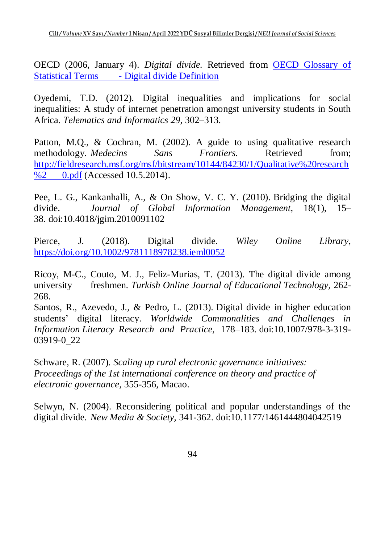OECD (2006, January 4). *Digital divide.* Retrieved from [OECD Glossary of](https://stats.oecd.org/glossary/detail.asp?ID=4719)  Statistical Terms - [Digital divide Definition](https://stats.oecd.org/glossary/detail.asp?ID=4719)

Oyedemi, T.D. (2012). Digital inequalities and implications for social inequalities: A study of internet penetration amongst university students in South Africa. *Telematics and Informatics 29*, 302–313.

Patton, M.Q., & Cochran, M. (2002). A guide to using qualitative research methodology. *Medecins* Sans Frontiers. Retrieved from: [http://fieldresearch.msf.org/msf/bitstream/10144/84230/1/Qualitative%20research](http://fieldresearch.msf.org/msf/bitstream/10144/84230/1/Qualitative%20research%252%090.pdf) %2 [0.pdf](http://fieldresearch.msf.org/msf/bitstream/10144/84230/1/Qualitative%20research%252%090.pdf) (Accessed 10.5.2014).

Pee, L. G., Kankanhalli, A., & On Show, V. C. Y. (2010). Bridging the digital divide. *Journal of Global Information Management,* 18(1), 15– 38. doi:10.4018/jgim.2010091102

Pierce, J. (2018). Digital divide. *Wiley Online Library,* <https://doi.org/10.1002/9781118978238.ieml0052>

Ricoy, M-C., Couto, M. J., Feliz-Murias, T. (2013). The digital divide among university freshmen. *Turkish Online Journal of Educational Technology,* 262- 268.

Santos, R., Azevedo, J., & Pedro, L. (2013). Digital divide in higher education students' digital literacy. *Worldwide Commonalities and Challenges in Information Literacy Research and Practice,* 178–183. doi:10.1007/978-3-319- 03919-0\_22

Schware, R. (2007). *Scaling up rural electronic governance initiatives: Proceedings of the 1st international conference on theory and practice of electronic governance*, 355-356, Macao.

Selwyn, N. (2004). Reconsidering political and popular understandings of the digital divide. *New Media & Society,* 341-362. doi:10.1177/1461444804042519